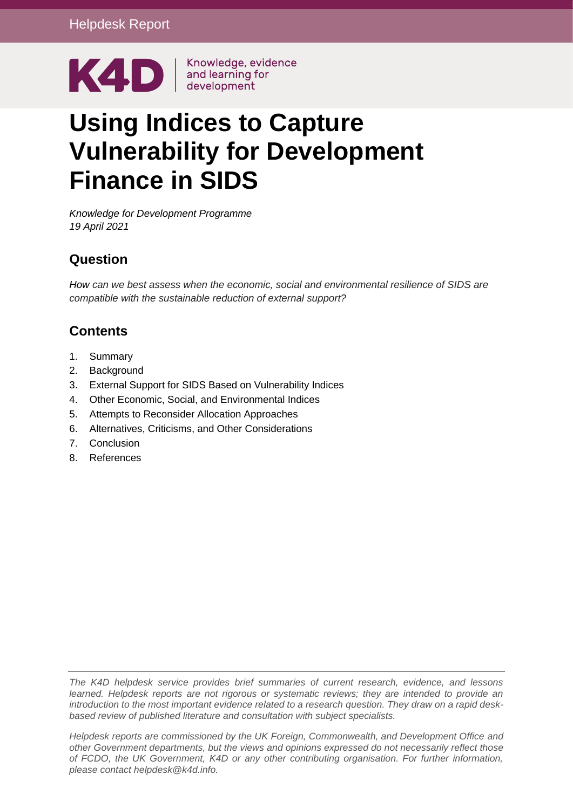

# **Using Indices to Capture Vulnerability for Development Finance in SIDS**

*Knowledge for Development Programme 19 April 2021*

### **Question**

*How can we best assess when the economic, social and environmental resilience of SIDS are compatible with the sustainable reduction of external support?*

### **Contents**

- 1. [Summary](#page-1-0)
- 2. [Background](#page-2-0)
- 3. [External Support for SIDS Based on Vulnerability Indices](#page-4-0)
- 4. [Other Economic, Social, and Environmental Indices](#page-12-0)
- 5. [Attempts to Reconsider Allocation Approaches](#page-15-0)
- 6. [Alternatives, Criticisms, and Other Considerations](#page-17-0)
- 7. [Conclusion](#page-18-0)
- 8. [References](#page-19-0)

*The K4D helpdesk service provides brief summaries of current research, evidence, and lessons learned. Helpdesk reports are not rigorous or systematic reviews; they are intended to provide an introduction to the most important evidence related to a research question. They draw on a rapid deskbased review of published literature and consultation with subject specialists.* 

*Helpdesk reports are commissioned by the UK Foreign, Commonwealth, and Development Office and other Government departments, but the views and opinions expressed do not necessarily reflect those of FCDO, the UK Government, K4D or any other contributing organisation. For further information, please contact helpdesk@k4d.info.*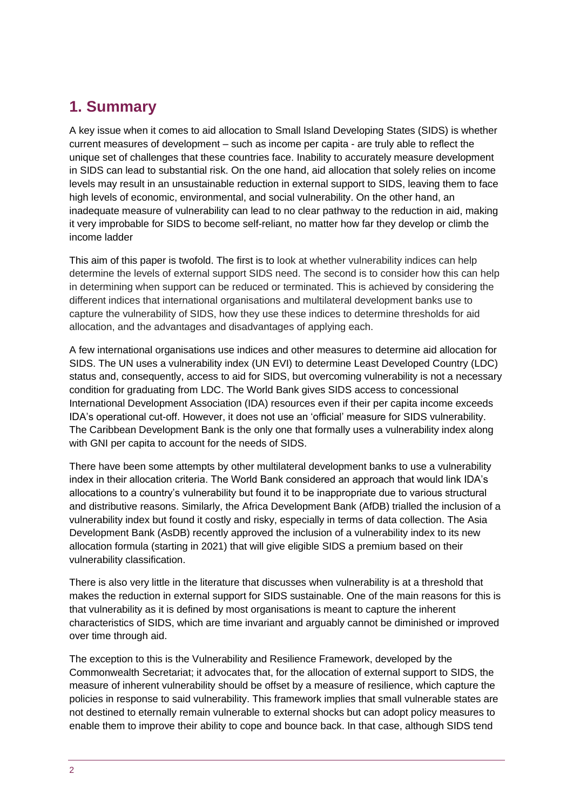## <span id="page-1-0"></span>**1. Summary**

A key issue when it comes to aid allocation to Small Island Developing States (SIDS) is whether current measures of development – such as income per capita - are truly able to reflect the unique set of challenges that these countries face. Inability to accurately measure development in SIDS can lead to substantial risk. On the one hand, aid allocation that solely relies on income levels may result in an unsustainable reduction in external support to SIDS, leaving them to face high levels of economic, environmental, and social vulnerability. On the other hand, an inadequate measure of vulnerability can lead to no clear pathway to the reduction in aid, making it very improbable for SIDS to become self-reliant, no matter how far they develop or climb the income ladder

This aim of this paper is twofold. The first is to look at whether vulnerability indices can help determine the levels of external support SIDS need. The second is to consider how this can help in determining when support can be reduced or terminated. This is achieved by considering the different indices that international organisations and multilateral development banks use to capture the vulnerability of SIDS, how they use these indices to determine thresholds for aid allocation, and the advantages and disadvantages of applying each.

A few international organisations use indices and other measures to determine aid allocation for SIDS. The UN uses a vulnerability index (UN EVI) to determine Least Developed Country (LDC) status and, consequently, access to aid for SIDS, but overcoming vulnerability is not a necessary condition for graduating from LDC. The World Bank gives SIDS access to concessional International Development Association (IDA) resources even if their per capita income exceeds IDA's operational cut-off. However, it does not use an 'official' measure for SIDS vulnerability. The Caribbean Development Bank is the only one that formally uses a vulnerability index along with GNI per capita to account for the needs of SIDS.

There have been some attempts by other multilateral development banks to use a vulnerability index in their allocation criteria. The World Bank considered an approach that would link IDA's allocations to a country's vulnerability but found it to be inappropriate due to various structural and distributive reasons. Similarly, the Africa Development Bank (AfDB) trialled the inclusion of a vulnerability index but found it costly and risky, especially in terms of data collection. The Asia Development Bank (AsDB) recently approved the inclusion of a vulnerability index to its new allocation formula (starting in 2021) that will give eligible SIDS a premium based on their vulnerability classification.

There is also very little in the literature that discusses when vulnerability is at a threshold that makes the reduction in external support for SIDS sustainable. One of the main reasons for this is that vulnerability as it is defined by most organisations is meant to capture the inherent characteristics of SIDS, which are time invariant and arguably cannot be diminished or improved over time through aid.

The exception to this is the Vulnerability and Resilience Framework, developed by the Commonwealth Secretariat; it advocates that, for the allocation of external support to SIDS, the measure of inherent vulnerability should be offset by a measure of resilience, which capture the policies in response to said vulnerability. This framework implies that small vulnerable states are not destined to eternally remain vulnerable to external shocks but can adopt policy measures to enable them to improve their ability to cope and bounce back. In that case, although SIDS tend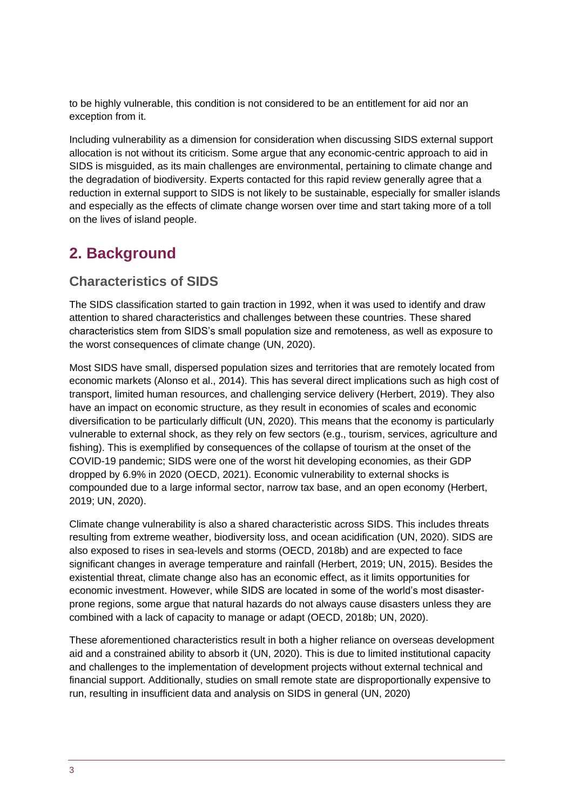to be highly vulnerable, this condition is not considered to be an entitlement for aid nor an exception from it.

Including vulnerability as a dimension for consideration when discussing SIDS external support allocation is not without its criticism. Some argue that any economic-centric approach to aid in SIDS is misguided, as its main challenges are environmental, pertaining to climate change and the degradation of biodiversity. Experts contacted for this rapid review generally agree that a reduction in external support to SIDS is not likely to be sustainable, especially for smaller islands and especially as the effects of climate change worsen over time and start taking more of a toll on the lives of island people.

# <span id="page-2-0"></span>**2. Background**

### **Characteristics of SIDS**

The SIDS classification started to gain traction in 1992, when it was used to identify and draw attention to shared characteristics and challenges between these countries. These shared characteristics stem from SIDS's small population size and remoteness, as well as exposure to the worst consequences of climate change (UN, 2020).

Most SIDS have small, dispersed population sizes and territories that are remotely located from economic markets (Alonso et al., 2014). This has several direct implications such as high cost of transport, limited human resources, and challenging service delivery (Herbert, 2019). They also have an impact on economic structure, as they result in economies of scales and economic diversification to be particularly difficult (UN, 2020). This means that the economy is particularly vulnerable to external shock, as they rely on few sectors (e.g., tourism, services, agriculture and fishing). This is exemplified by consequences of the collapse of tourism at the onset of the COVID-19 pandemic; SIDS were one of the worst hit developing economies, as their GDP dropped by 6.9% in 2020 (OECD, 2021). Economic vulnerability to external shocks is compounded due to a large informal sector, narrow tax base, and an open economy (Herbert, 2019; UN, 2020).

Climate change vulnerability is also a shared characteristic across SIDS. This includes threats resulting from extreme weather, biodiversity loss, and ocean acidification (UN, 2020). SIDS are also exposed to rises in sea-levels and storms (OECD, 2018b) and are expected to face significant changes in average temperature and rainfall (Herbert, 2019; UN, 2015). Besides the existential threat, climate change also has an economic effect, as it limits opportunities for economic investment. However, while SIDS are located in some of the world's most disasterprone regions, some argue that natural hazards do not always cause disasters unless they are combined with a lack of capacity to manage or adapt (OECD, 2018b; UN, 2020).

These aforementioned characteristics result in both a higher reliance on overseas development aid and a constrained ability to absorb it (UN, 2020). This is due to limited institutional capacity and challenges to the implementation of development projects without external technical and financial support. Additionally, studies on small remote state are disproportionally expensive to run, resulting in insufficient data and analysis on SIDS in general (UN, 2020)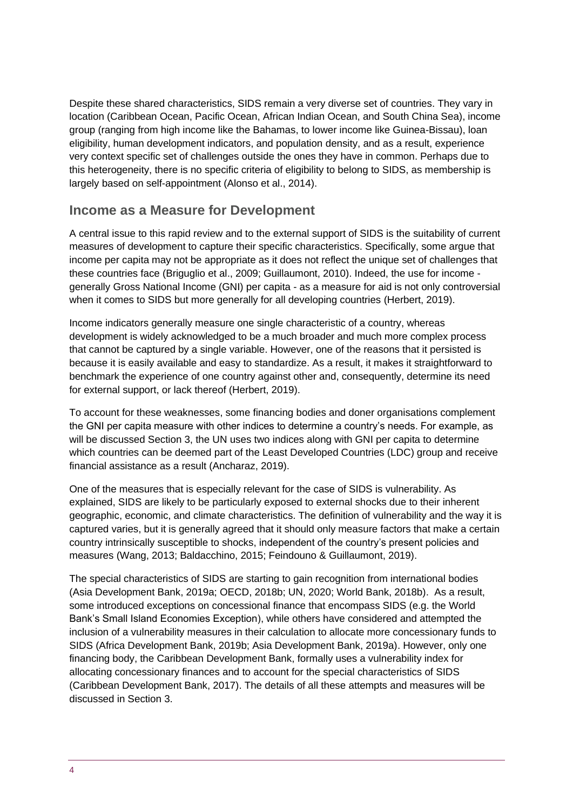Despite these shared characteristics, SIDS remain a very diverse set of countries. They vary in location (Caribbean Ocean, Pacific Ocean, African Indian Ocean, and South China Sea), income group (ranging from high income like the Bahamas, to lower income like Guinea-Bissau), loan eligibility, human development indicators, and population density, and as a result, experience very context specific set of challenges outside the ones they have in common. Perhaps due to this heterogeneity, there is no specific criteria of eligibility to belong to SIDS, as membership is largely based on self-appointment (Alonso et al., 2014).

### **Income as a Measure for Development**

A central issue to this rapid review and to the external support of SIDS is the suitability of current measures of development to capture their specific characteristics. Specifically, some argue that income per capita may not be appropriate as it does not reflect the unique set of challenges that these countries face (Briguglio et al., 2009; Guillaumont, 2010). Indeed, the use for income generally Gross National Income (GNI) per capita - as a measure for aid is not only controversial when it comes to SIDS but more generally for all developing countries (Herbert, 2019).

Income indicators generally measure one single characteristic of a country, whereas development is widely acknowledged to be a much broader and much more complex process that cannot be captured by a single variable. However, one of the reasons that it persisted is because it is easily available and easy to standardize. As a result, it makes it straightforward to benchmark the experience of one country against other and, consequently, determine its need for external support, or lack thereof (Herbert, 2019).

To account for these weaknesses, some financing bodies and doner organisations complement the GNI per capita measure with other indices to determine a country's needs. For example, as will be discussed Section 3, the UN uses two indices along with GNI per capita to determine which countries can be deemed part of the Least Developed Countries (LDC) group and receive financial assistance as a result (Ancharaz, 2019).

One of the measures that is especially relevant for the case of SIDS is vulnerability. As explained, SIDS are likely to be particularly exposed to external shocks due to their inherent geographic, economic, and climate characteristics. The definition of vulnerability and the way it is captured varies, but it is generally agreed that it should only measure factors that make a certain country intrinsically susceptible to shocks, independent of the country's present policies and measures (Wang, 2013; Baldacchino, 2015; Feindouno & Guillaumont, 2019).

The special characteristics of SIDS are starting to gain recognition from international bodies (Asia Development Bank, 2019a; OECD, 2018b; UN, 2020; World Bank, 2018b). As a result, some introduced exceptions on concessional finance that encompass SIDS (e.g. the World Bank's Small Island Economies Exception), while others have considered and attempted the inclusion of a vulnerability measures in their calculation to allocate more concessionary funds to SIDS (Africa Development Bank, 2019b; Asia Development Bank, 2019a). However, only one financing body, the Caribbean Development Bank, formally uses a vulnerability index for allocating concessionary finances and to account for the special characteristics of SIDS (Caribbean Development Bank, 2017). The details of all these attempts and measures will be discussed in Section 3.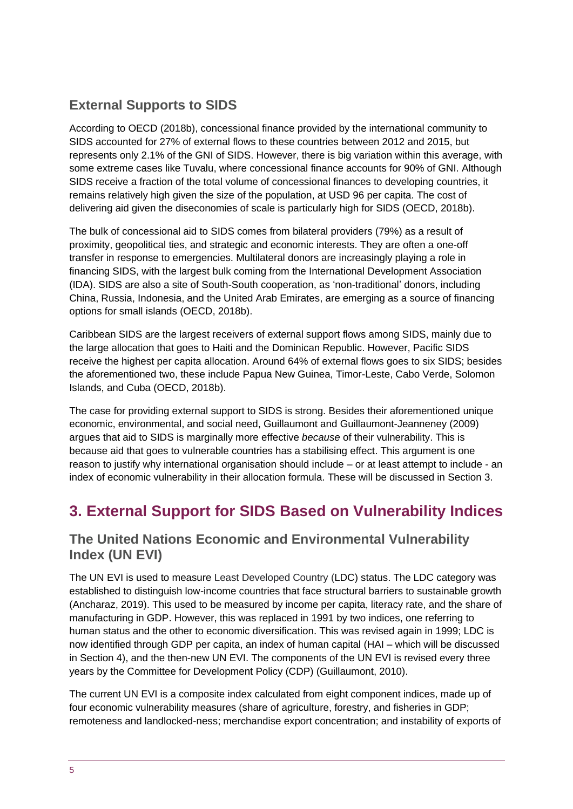### **External Supports to SIDS**

According to OECD (2018b), concessional finance provided by the international community to SIDS accounted for 27% of external flows to these countries between 2012 and 2015, but represents only 2.1% of the GNI of SIDS. However, there is big variation within this average, with some extreme cases like Tuvalu, where concessional finance accounts for 90% of GNI. Although SIDS receive a fraction of the total volume of concessional finances to developing countries, it remains relatively high given the size of the population, at USD 96 per capita. The cost of delivering aid given the diseconomies of scale is particularly high for SIDS (OECD, 2018b).

The bulk of concessional aid to SIDS comes from bilateral providers (79%) as a result of proximity, geopolitical ties, and strategic and economic interests. They are often a one-off transfer in response to emergencies. Multilateral donors are increasingly playing a role in financing SIDS, with the largest bulk coming from the International Development Association (IDA). SIDS are also a site of South-South cooperation, as 'non-traditional' donors, including China, Russia, Indonesia, and the United Arab Emirates, are emerging as a source of financing options for small islands (OECD, 2018b).

Caribbean SIDS are the largest receivers of external support flows among SIDS, mainly due to the large allocation that goes to Haiti and the Dominican Republic. However, Pacific SIDS receive the highest per capita allocation. Around 64% of external flows goes to six SIDS; besides the aforementioned two, these include Papua New Guinea, Timor-Leste, Cabo Verde, Solomon Islands, and Cuba (OECD, 2018b).

The case for providing external support to SIDS is strong. Besides their aforementioned unique economic, environmental, and social need, Guillaumont and Guillaumont-Jeanneney (2009) argues that aid to SIDS is marginally more effective *because* of their vulnerability. This is because aid that goes to vulnerable countries has a stabilising effect. This argument is one reason to justify why international organisation should include – or at least attempt to include - an index of economic vulnerability in their allocation formula. These will be discussed in Section 3.

# <span id="page-4-0"></span>**3. External Support for SIDS Based on Vulnerability Indices**

### **The United Nations Economic and Environmental Vulnerability Index (UN EVI)**

The UN EVI is used to measure Least Developed Country (LDC) status. The LDC category was established to distinguish low-income countries that face structural barriers to sustainable growth (Ancharaz, 2019). This used to be measured by income per capita, literacy rate, and the share of manufacturing in GDP. However, this was replaced in 1991 by two indices, one referring to human status and the other to economic diversification. This was revised again in 1999; LDC is now identified through GDP per capita, an index of human capital (HAI – which will be discussed in Section 4), and the then-new UN EVI. The components of the UN EVI is revised every three years by the Committee for Development Policy (CDP) (Guillaumont, 2010).

The current UN EVI is a composite index calculated from eight component indices, made up of four economic vulnerability measures (share of agriculture, forestry, and fisheries in GDP; remoteness and landlocked-ness; merchandise export concentration; and instability of exports of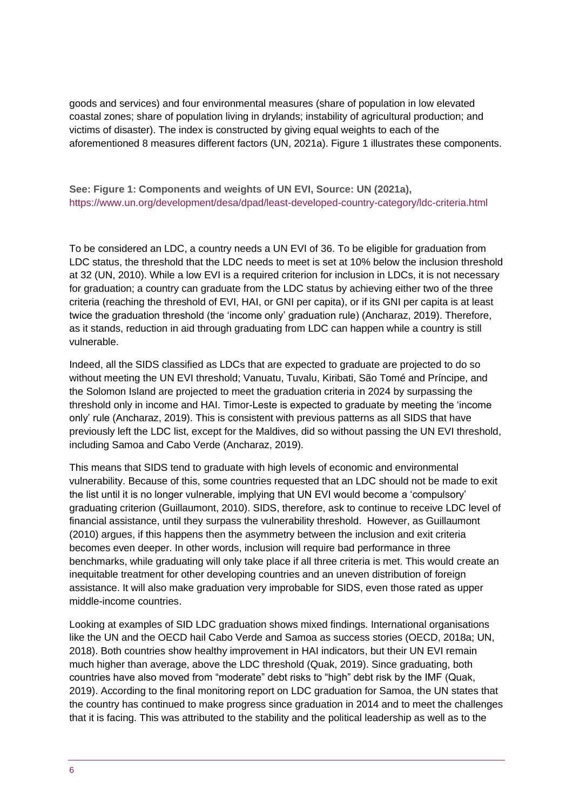goods and services) and four environmental measures (share of population in low elevated coastal zones; share of population living in drylands; instability of agricultural production; and victims of disaster). The index is constructed by giving equal weights to each of the aforementioned 8 measures different factors (UN, 2021a). Figure 1 illustrates these components.

**See: Figure 1: Components and weights of UN EVI, Source: UN (2021a),**  <https://www.un.org/development/desa/dpad/least-developed-country-category/ldc-criteria.html>

To be considered an LDC, a country needs a UN EVI of 36. To be eligible for graduation from LDC status, the threshold that the LDC needs to meet is set at 10% below the inclusion threshold at 32 (UN, 2010). While a low EVI is a required criterion for inclusion in LDCs, it is not necessary for graduation; a country can graduate from the LDC status by achieving either two of the three criteria (reaching the threshold of EVI, HAI, or GNI per capita), or if its GNI per capita is at least twice the graduation threshold (the 'income only' graduation rule) (Ancharaz, 2019). Therefore, as it stands, reduction in aid through graduating from LDC can happen while a country is still vulnerable.

Indeed, all the SIDS classified as LDCs that are expected to graduate are projected to do so without meeting the UN EVI threshold; Vanuatu, Tuvalu, Kiribati, São Tomé and Príncipe, and the Solomon Island are projected to meet the graduation criteria in 2024 by surpassing the threshold only in income and HAI. Timor-Leste is expected to graduate by meeting the 'income only' rule (Ancharaz, 2019). This is consistent with previous patterns as all SIDS that have previously left the LDC list, except for the Maldives, did so without passing the UN EVI threshold, including Samoa and Cabo Verde (Ancharaz, 2019).

This means that SIDS tend to graduate with high levels of economic and environmental vulnerability. Because of this, some countries requested that an LDC should not be made to exit the list until it is no longer vulnerable, implying that UN EVI would become a 'compulsory' graduating criterion (Guillaumont, 2010). SIDS, therefore, ask to continue to receive LDC level of financial assistance, until they surpass the vulnerability threshold. However, as Guillaumont (2010) argues, if this happens then the asymmetry between the inclusion and exit criteria becomes even deeper. In other words, inclusion will require bad performance in three benchmarks, while graduating will only take place if all three criteria is met. This would create an inequitable treatment for other developing countries and an uneven distribution of foreign assistance. It will also make graduation very improbable for SIDS, even those rated as upper middle-income countries.

Looking at examples of SID LDC graduation shows mixed findings. International organisations like the UN and the OECD hail Cabo Verde and Samoa as success stories (OECD, 2018a; UN, 2018). Both countries show healthy improvement in HAI indicators, but their UN EVI remain much higher than average, above the LDC threshold (Quak, 2019). Since graduating, both countries have also moved from "moderate" debt risks to "high" debt risk by the IMF (Quak, 2019). According to the final monitoring report on LDC graduation for Samoa, the UN states that the country has continued to make progress since graduation in 2014 and to meet the challenges that it is facing. This was attributed to the stability and the political leadership as well as to the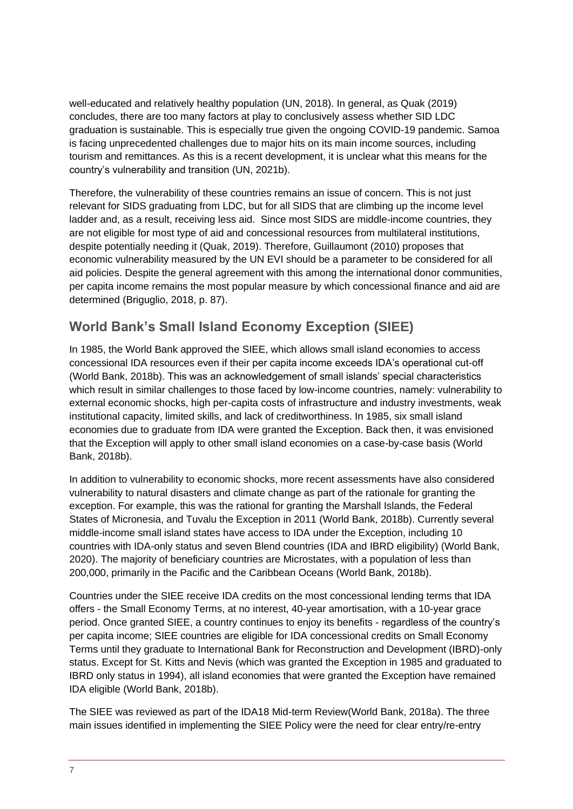well-educated and relatively healthy population (UN, 2018). In general, as Quak (2019) concludes, there are too many factors at play to conclusively assess whether SID LDC graduation is sustainable. This is especially true given the ongoing COVID-19 pandemic. Samoa is facing unprecedented challenges due to major hits on its main income sources, including tourism and remittances. As this is a recent development, it is unclear what this means for the country's vulnerability and transition (UN, 2021b).

Therefore, the vulnerability of these countries remains an issue of concern. This is not just relevant for SIDS graduating from LDC, but for all SIDS that are climbing up the income level ladder and, as a result, receiving less aid. Since most SIDS are middle-income countries, they are not eligible for most type of aid and concessional resources from multilateral institutions, despite potentially needing it (Quak, 2019). Therefore, Guillaumont (2010) proposes that economic vulnerability measured by the UN EVI should be a parameter to be considered for all aid policies. Despite the general agreement with this among the international donor communities, per capita income remains the most popular measure by which concessional finance and aid are determined (Briguglio, 2018, p. 87).

### **World Bank's Small Island Economy Exception (SIEE)**

In 1985, the World Bank approved the SIEE, which allows small island economies to access concessional IDA resources even if their per capita income exceeds IDA's operational cut-off (World Bank, 2018b). This was an acknowledgement of small islands' special characteristics which result in similar challenges to those faced by low-income countries, namely: vulnerability to external economic shocks, high per-capita costs of infrastructure and industry investments, weak institutional capacity, limited skills, and lack of creditworthiness. In 1985, six small island economies due to graduate from IDA were granted the Exception. Back then, it was envisioned that the Exception will apply to other small island economies on a case-by-case basis (World Bank, 2018b).

In addition to vulnerability to economic shocks, more recent assessments have also considered vulnerability to natural disasters and climate change as part of the rationale for granting the exception. For example, this was the rational for granting the Marshall Islands, the Federal States of Micronesia, and Tuvalu the Exception in 2011 (World Bank, 2018b). Currently several middle-income small island states have access to IDA under the Exception, including 10 countries with IDA-only status and seven Blend countries (IDA and IBRD eligibility) (World Bank, 2020). The majority of beneficiary countries are Microstates, with a population of less than 200,000, primarily in the Pacific and the Caribbean Oceans (World Bank, 2018b).

Countries under the SIEE receive IDA credits on the most concessional lending terms that IDA offers - the Small Economy Terms, at no interest, 40-year amortisation, with a 10-year grace period. Once granted SIEE, a country continues to enjoy its benefits - regardless of the country's per capita income; SIEE countries are eligible for IDA concessional credits on Small Economy Terms until they graduate to International Bank for Reconstruction and Development (IBRD)-only status. Except for St. Kitts and Nevis (which was granted the Exception in 1985 and graduated to IBRD only status in 1994), all island economies that were granted the Exception have remained IDA eligible (World Bank, 2018b).

The SIEE was reviewed as part of the IDA18 Mid-term Review(World Bank, 2018a). The three main issues identified in implementing the SIEE Policy were the need for clear entry/re-entry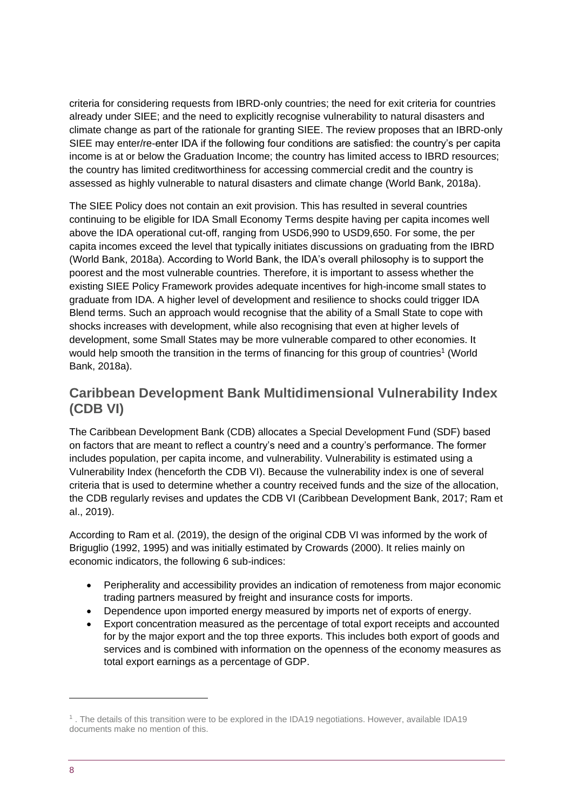criteria for considering requests from IBRD-only countries; the need for exit criteria for countries already under SIEE; and the need to explicitly recognise vulnerability to natural disasters and climate change as part of the rationale for granting SIEE. The review proposes that an IBRD-only SIEE may enter/re-enter IDA if the following four conditions are satisfied: the country's per capita income is at or below the Graduation Income; the country has limited access to IBRD resources; the country has limited creditworthiness for accessing commercial credit and the country is assessed as highly vulnerable to natural disasters and climate change (World Bank, 2018a).

The SIEE Policy does not contain an exit provision. This has resulted in several countries continuing to be eligible for IDA Small Economy Terms despite having per capita incomes well above the IDA operational cut-off, ranging from USD6,990 to USD9,650. For some, the per capita incomes exceed the level that typically initiates discussions on graduating from the IBRD (World Bank, 2018a). According to World Bank, the IDA's overall philosophy is to support the poorest and the most vulnerable countries. Therefore, it is important to assess whether the existing SIEE Policy Framework provides adequate incentives for high-income small states to graduate from IDA. A higher level of development and resilience to shocks could trigger IDA Blend terms. Such an approach would recognise that the ability of a Small State to cope with shocks increases with development, while also recognising that even at higher levels of development, some Small States may be more vulnerable compared to other economies. It would help smooth the transition in the terms of financing for this group of countries<sup>1</sup> (World Bank, 2018a).

### **Caribbean Development Bank Multidimensional Vulnerability Index (CDB VI)**

The Caribbean Development Bank (CDB) allocates a Special Development Fund (SDF) based on factors that are meant to reflect a country's need and a country's performance. The former includes population, per capita income, and vulnerability. Vulnerability is estimated using a Vulnerability Index (henceforth the CDB VI). Because the vulnerability index is one of several criteria that is used to determine whether a country received funds and the size of the allocation, the CDB regularly revises and updates the CDB VI (Caribbean Development Bank, 2017; Ram et al., 2019).

According to Ram et al. (2019), the design of the original CDB VI was informed by the work of Briguglio (1992, 1995) and was initially estimated by Crowards (2000). It relies mainly on economic indicators, the following 6 sub-indices:

- Peripherality and accessibility provides an indication of remoteness from major economic trading partners measured by freight and insurance costs for imports.
- Dependence upon imported energy measured by imports net of exports of energy.
- Export concentration measured as the percentage of total export receipts and accounted for by the major export and the top three exports. This includes both export of goods and services and is combined with information on the openness of the economy measures as total export earnings as a percentage of GDP.

<sup>1</sup> . The details of this transition were to be explored in the IDA19 negotiations. However, available IDA19 documents make no mention of this.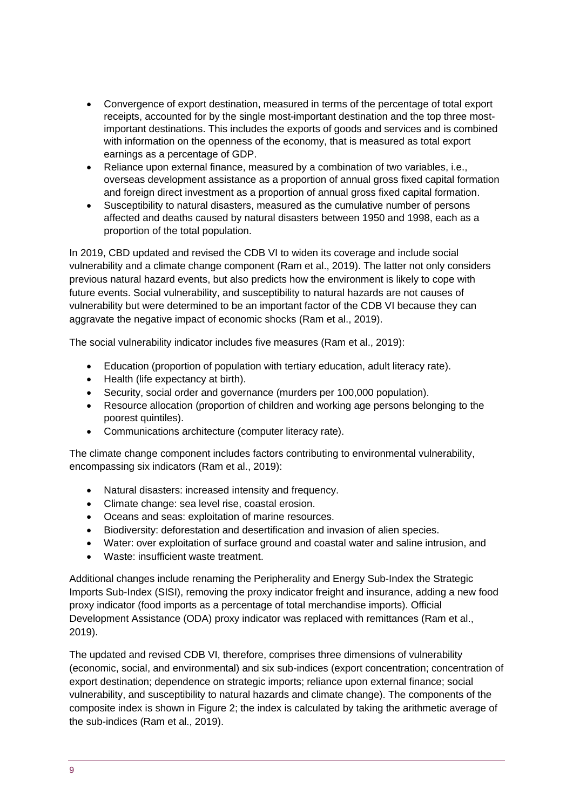- Convergence of export destination, measured in terms of the percentage of total export receipts, accounted for by the single most-important destination and the top three mostimportant destinations. This includes the exports of goods and services and is combined with information on the openness of the economy, that is measured as total export earnings as a percentage of GDP.
- Reliance upon external finance, measured by a combination of two variables, i.e., overseas development assistance as a proportion of annual gross fixed capital formation and foreign direct investment as a proportion of annual gross fixed capital formation.
- Susceptibility to natural disasters, measured as the cumulative number of persons affected and deaths caused by natural disasters between 1950 and 1998, each as a proportion of the total population.

In 2019, CBD updated and revised the CDB VI to widen its coverage and include social vulnerability and a climate change component (Ram et al., 2019). The latter not only considers previous natural hazard events, but also predicts how the environment is likely to cope with future events. Social vulnerability, and susceptibility to natural hazards are not causes of vulnerability but were determined to be an important factor of the CDB VI because they can aggravate the negative impact of economic shocks (Ram et al., 2019).

The social vulnerability indicator includes five measures (Ram et al., 2019):

- Education (proportion of population with tertiary education, adult literacy rate).
- Health (life expectancy at birth).
- Security, social order and governance (murders per 100,000 population).
- Resource allocation (proportion of children and working age persons belonging to the poorest quintiles).
- Communications architecture (computer literacy rate).

The climate change component includes factors contributing to environmental vulnerability, encompassing six indicators (Ram et al., 2019):

- Natural disasters: increased intensity and frequency.
- Climate change: sea level rise, coastal erosion.
- Oceans and seas: exploitation of marine resources.
- Biodiversity: deforestation and desertification and invasion of alien species.
- Water: over exploitation of surface ground and coastal water and saline intrusion, and
- Waste: insufficient waste treatment.

Additional changes include renaming the Peripherality and Energy Sub-Index the Strategic Imports Sub-Index (SISI), removing the proxy indicator freight and insurance, adding a new food proxy indicator (food imports as a percentage of total merchandise imports). Official Development Assistance (ODA) proxy indicator was replaced with remittances (Ram et al., 2019).

The updated and revised CDB VI, therefore, comprises three dimensions of vulnerability (economic, social, and environmental) and six sub-indices (export concentration; concentration of export destination; dependence on strategic imports; reliance upon external finance; social vulnerability, and susceptibility to natural hazards and climate change). The components of the composite index is shown in Figure 2; the index is calculated by taking the arithmetic average of the sub-indices (Ram et al., 2019).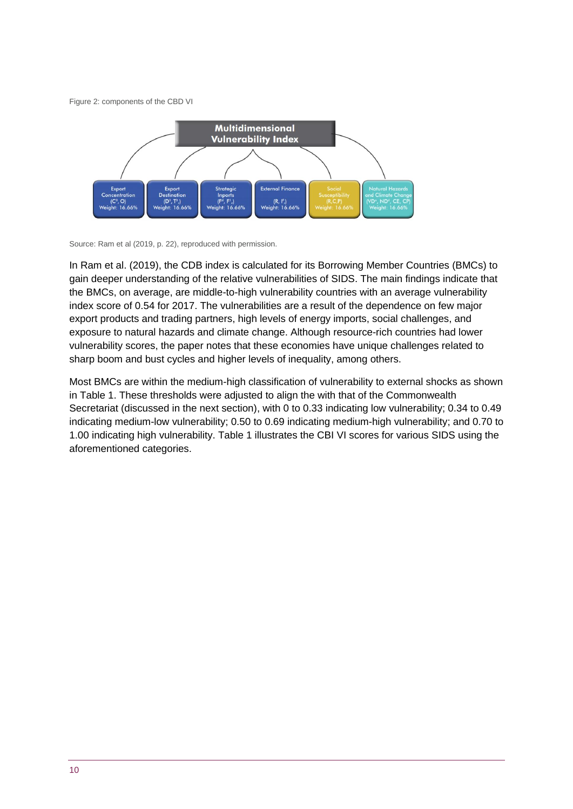Figure 2: components of the CBD VI



Source: Ram et al (2019, p. 22), reproduced with permission.

In Ram et al. (2019), the CDB index is calculated for its Borrowing Member Countries (BMCs) to gain deeper understanding of the relative vulnerabilities of SIDS. The main findings indicate that the BMCs, on average, are middle-to-high vulnerability countries with an average vulnerability index score of 0.54 for 2017. The vulnerabilities are a result of the dependence on few major export products and trading partners, high levels of energy imports, social challenges, and exposure to natural hazards and climate change. Although resource-rich countries had lower vulnerability scores, the paper notes that these economies have unique challenges related to sharp boom and bust cycles and higher levels of inequality, among others.

Most BMCs are within the medium-high classification of vulnerability to external shocks as shown in Table 1. These thresholds were adjusted to align the with that of the Commonwealth Secretariat (discussed in the next section), with 0 to 0.33 indicating low vulnerability; 0.34 to 0.49 indicating medium-low vulnerability; 0.50 to 0.69 indicating medium-high vulnerability; and 0.70 to 1.00 indicating high vulnerability. Table 1 illustrates the CBI VI scores for various SIDS using the aforementioned categories.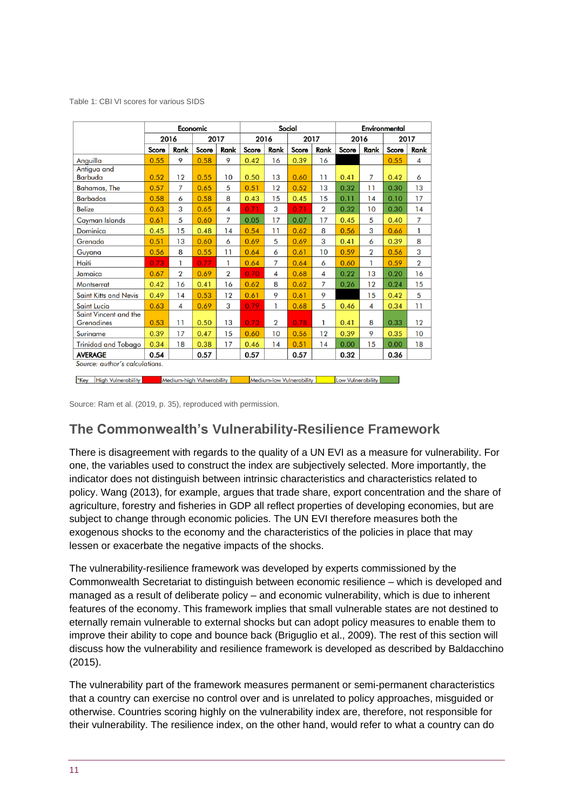Table 1: CBI VI scores for various SIDS

|                                                                                                                        | Economic |                         |       | Social         |       |                         |       | Environmental           |       |                |       |                |
|------------------------------------------------------------------------------------------------------------------------|----------|-------------------------|-------|----------------|-------|-------------------------|-------|-------------------------|-------|----------------|-------|----------------|
|                                                                                                                        | 2016     |                         | 2017  |                | 2016  |                         | 2017  |                         | 2016  |                | 2017  |                |
|                                                                                                                        | Score    | Rank                    | Score | Rank           | Score | Rank                    | Score | Rank                    | Score | Rank           | Score | Rank           |
| Anguilla                                                                                                               | 0.55     | 9                       | 0.58  | 9              | 0.42  | 16                      | 0.39  | 16                      |       |                | 0.55  | 4              |
| Antigua and<br><b>Barbuda</b>                                                                                          | 0.52     | 12                      | 0.55  | 10             | 0.50  | 13                      | 0.60  | 11                      | 0.41  | 7              | 0.42  | 6              |
| <b>Bahamas, The</b>                                                                                                    | 0.57     | 7                       | 0.65  | 5              | 0.51  | 12                      | 0.52  | 13                      | 0.32  | 11             | 0.30  | 13             |
| <b>Barbados</b>                                                                                                        | 0.58     | 6                       | 0.58  | 8              | 0.43  | 15                      | 0.45  | 15                      | 0.11  | 14             | 0.10  | 17             |
| <b>Belize</b>                                                                                                          | 0.63     | 3                       | 0.65  | 4              | 0.71  | 3                       | 0.71  | $\overline{\mathbf{2}}$ | 0.32  | 10             | 0.30  | 14             |
| <b>Cayman Islands</b>                                                                                                  | 0.61     | 5                       | 0.60  | 7              | 0.05  | 17                      | 0.07  | 17                      | 0.45  | 5              | 0.40  | 7              |
| Dominica                                                                                                               | 0.45     | 15                      | 0.48  | 14             | 0.54  | 11                      | 0.62  | 8                       | 0.56  | 3              | 0.66  | 1              |
| Grenada                                                                                                                | 0.51     | 13                      | 0.60  | 6              | 0.69  | 5                       | 0.69  | 3                       | 0.41  | 6              | 0.39  | 8              |
| Guyana                                                                                                                 | 0.56     | 8                       | 0.55  | 11             | 0.64  | 6                       | 0.61  | 10                      | 0.59  | $\overline{2}$ | 0.56  | 3              |
| Haiti                                                                                                                  | 0.73     | 1                       | 0.77  | 1              | 0.64  | $\overline{7}$          | 0.64  | 6                       | 0.60  | 1              | 0.59  | $\overline{2}$ |
| Jamaica                                                                                                                | 0.67     | $\overline{2}$          | 0.69  | $\overline{2}$ | 0.70  | 4                       | 0.68  | 4                       | 0.22  | 13             | 0.20  | 16             |
| <b>Montserrat</b>                                                                                                      | 0.42     | 16                      | 0.41  | 16             | 0.62  | 8                       | 0.62  | $\overline{7}$          | 0.26  | 12             | 0.24  | 15             |
| <b>Saint Kitts and Nevis</b>                                                                                           | 0.49     | 14                      | 0.53  | 12             | 0.61  | 9                       | 0.61  | 9                       |       | 15             | 0.42  | 5              |
| <b>Saint Lucia</b>                                                                                                     | 0.63     | $\overline{\mathbf{4}}$ | 0.69  | 3              | 0.79  | 1                       | 0.68  | 5                       | 0.46  | 4              | 0.34  | 11             |
| Saint Vincent and the<br><b>Grenadines</b>                                                                             | 0.53     | 11                      | 0.50  | 13             | 0.73  | $\overline{\mathbf{2}}$ | 0.78  | 1                       | 0.41  | 8              | 0.33  | 12             |
| <b>Suriname</b>                                                                                                        | 0.39     | 17                      | 0.47  | 15             | 0.60  | 10                      | 0.56  | 12                      | 0.39  | 9              | 0.35  | 10             |
| <b>Trinidad and Tobago</b>                                                                                             | 0.34     | 18                      | 0.38  | 17             | 0.46  | 14                      | 0.51  | 14                      | 0.00  | 15             | 0.00  | 18             |
| 0.32<br>0.54<br>0.57<br>0.57<br>0.57<br>0.36<br><b>AVERAGE</b>                                                         |          |                         |       |                |       |                         |       |                         |       |                |       |                |
| Source: author's calculations.                                                                                         |          |                         |       |                |       |                         |       |                         |       |                |       |                |
| *Key<br><b>High Vulnerability</b><br><b>Medium-high Vulnerability</b><br>Medium-low Vulnerability<br>Low Vulnerability |          |                         |       |                |       |                         |       |                         |       |                |       |                |

Source: Ram et al. (2019, p. 35), reproduced with permission.

### **The Commonwealth's Vulnerability-Resilience Framework**

There is disagreement with regards to the quality of a UN EVI as a measure for vulnerability. For one, the variables used to construct the index are subjectively selected. More importantly, the indicator does not distinguish between intrinsic characteristics and characteristics related to policy. Wang (2013), for example, argues that trade share, export concentration and the share of agriculture, forestry and fisheries in GDP all reflect properties of developing economies, but are subject to change through economic policies. The UN EVI therefore measures both the exogenous shocks to the economy and the characteristics of the policies in place that may lessen or exacerbate the negative impacts of the shocks.

The vulnerability-resilience framework was developed by experts commissioned by the Commonwealth Secretariat to distinguish between economic resilience – which is developed and managed as a result of deliberate policy – and economic vulnerability, which is due to inherent features of the economy. This framework implies that small vulnerable states are not destined to eternally remain vulnerable to external shocks but can adopt policy measures to enable them to improve their ability to cope and bounce back (Briguglio et al., 2009). The rest of this section will discuss how the vulnerability and resilience framework is developed as described by Baldacchino (2015).

The vulnerability part of the framework measures permanent or semi-permanent characteristics that a country can exercise no control over and is unrelated to policy approaches, misguided or otherwise. Countries scoring highly on the vulnerability index are, therefore, not responsible for their vulnerability. The resilience index, on the other hand, would refer to what a country can do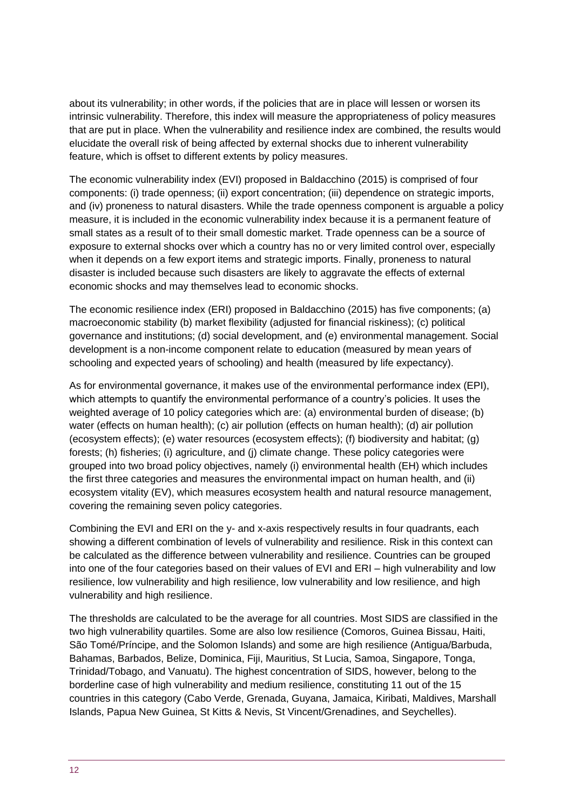about its vulnerability; in other words, if the policies that are in place will lessen or worsen its intrinsic vulnerability. Therefore, this index will measure the appropriateness of policy measures that are put in place. When the vulnerability and resilience index are combined, the results would elucidate the overall risk of being affected by external shocks due to inherent vulnerability feature, which is offset to different extents by policy measures.

The economic vulnerability index (EVI) proposed in Baldacchino (2015) is comprised of four components: (i) trade openness; (ii) export concentration; (iii) dependence on strategic imports, and (iv) proneness to natural disasters. While the trade openness component is arguable a policy measure, it is included in the economic vulnerability index because it is a permanent feature of small states as a result of to their small domestic market. Trade openness can be a source of exposure to external shocks over which a country has no or very limited control over, especially when it depends on a few export items and strategic imports. Finally, proneness to natural disaster is included because such disasters are likely to aggravate the effects of external economic shocks and may themselves lead to economic shocks.

The economic resilience index (ERI) proposed in Baldacchino (2015) has five components; (a) macroeconomic stability (b) market flexibility (adjusted for financial riskiness); (c) political governance and institutions; (d) social development, and (e) environmental management. Social development is a non-income component relate to education (measured by mean years of schooling and expected years of schooling) and health (measured by life expectancy).

As for environmental governance, it makes use of the environmental performance index (EPI), which attempts to quantify the environmental performance of a country's policies. It uses the weighted average of 10 policy categories which are: (a) environmental burden of disease; (b) water (effects on human health); (c) air pollution (effects on human health); (d) air pollution (ecosystem effects); (e) water resources (ecosystem effects); (f) biodiversity and habitat; (g) forests; (h) fisheries; (i) agriculture, and (j) climate change. These policy categories were grouped into two broad policy objectives, namely (i) environmental health (EH) which includes the first three categories and measures the environmental impact on human health, and (ii) ecosystem vitality (EV), which measures ecosystem health and natural resource management, covering the remaining seven policy categories.

Combining the EVI and ERI on the y- and x-axis respectively results in four quadrants, each showing a different combination of levels of vulnerability and resilience. Risk in this context can be calculated as the difference between vulnerability and resilience. Countries can be grouped into one of the four categories based on their values of EVI and ERI – high vulnerability and low resilience, low vulnerability and high resilience, low vulnerability and low resilience, and high vulnerability and high resilience.

The thresholds are calculated to be the average for all countries. Most SIDS are classified in the two high vulnerability quartiles. Some are also low resilience (Comoros, Guinea Bissau, Haiti, São Tomé/Príncipe, and the Solomon Islands) and some are high resilience (Antigua/Barbuda, Bahamas, Barbados, Belize, Dominica, Fiji, Mauritius, St Lucia, Samoa, Singapore, Tonga, Trinidad/Tobago, and Vanuatu). The highest concentration of SIDS, however, belong to the borderline case of high vulnerability and medium resilience, constituting 11 out of the 15 countries in this category (Cabo Verde, Grenada, Guyana, Jamaica, Kiribati, Maldives, Marshall Islands, Papua New Guinea, St Kitts & Nevis, St Vincent/Grenadines, and Seychelles).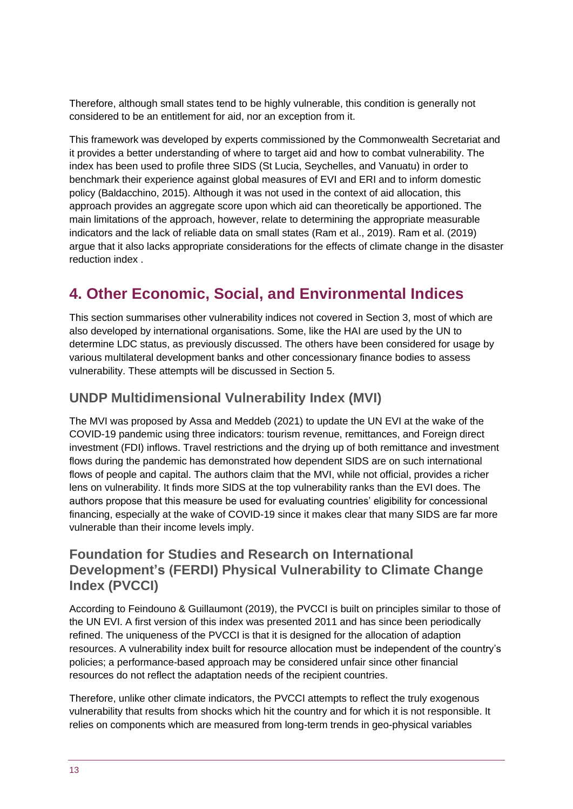Therefore, although small states tend to be highly vulnerable, this condition is generally not considered to be an entitlement for aid, nor an exception from it.

This framework was developed by experts commissioned by the Commonwealth Secretariat and it provides a better understanding of where to target aid and how to combat vulnerability. The index has been used to profile three SIDS (St Lucia, Seychelles, and Vanuatu) in order to benchmark their experience against global measures of EVI and ERI and to inform domestic policy (Baldacchino, 2015). Although it was not used in the context of aid allocation, this approach provides an aggregate score upon which aid can theoretically be apportioned. The main limitations of the approach, however, relate to determining the appropriate measurable indicators and the lack of reliable data on small states (Ram et al., 2019). Ram et al. (2019) argue that it also lacks appropriate considerations for the effects of climate change in the disaster reduction index .

# <span id="page-12-0"></span>**4. Other Economic, Social, and Environmental Indices**

This section summarises other vulnerability indices not covered in Section 3, most of which are also developed by international organisations. Some, like the HAI are used by the UN to determine LDC status, as previously discussed. The others have been considered for usage by various multilateral development banks and other concessionary finance bodies to assess vulnerability. These attempts will be discussed in Section 5.

### **UNDP Multidimensional Vulnerability Index (MVI)**

The MVI was proposed by Assa and Meddeb (2021) to update the UN EVI at the wake of the COVID-19 pandemic using three indicators: tourism revenue, remittances, and Foreign direct investment (FDI) inflows. Travel restrictions and the drying up of both remittance and investment flows during the pandemic has demonstrated how dependent SIDS are on such international flows of people and capital. The authors claim that the MVI, while not official, provides a richer lens on vulnerability. It finds more SIDS at the top vulnerability ranks than the EVI does. The authors propose that this measure be used for evaluating countries' eligibility for concessional financing, especially at the wake of COVID-19 since it makes clear that many SIDS are far more vulnerable than their income levels imply.

### **Foundation for Studies and Research on International Development's (FERDI) Physical Vulnerability to Climate Change Index (PVCCI)**

According to Feindouno & Guillaumont (2019), the PVCCI is built on principles similar to those of the UN EVI. A first version of this index was presented 2011 and has since been periodically refined. The uniqueness of the PVCCI is that it is designed for the allocation of adaption resources. A vulnerability index built for resource allocation must be independent of the country's policies; a performance-based approach may be considered unfair since other financial resources do not reflect the adaptation needs of the recipient countries.

Therefore, unlike other climate indicators, the PVCCI attempts to reflect the truly exogenous vulnerability that results from shocks which hit the country and for which it is not responsible. It relies on components which are measured from long-term trends in geo-physical variables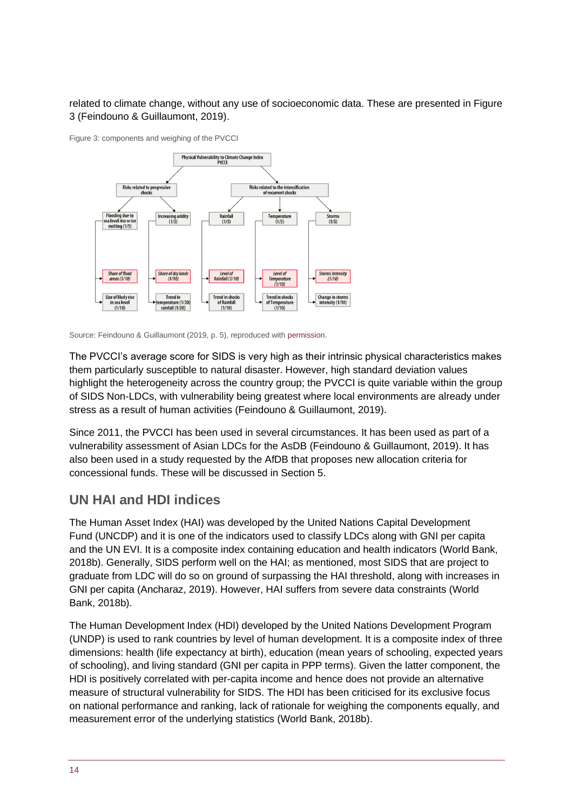#### related to climate change, without any use of socioeconomic data. These are presented in Figure 3 (Feindouno & Guillaumont, 2019).

Figure 3: components and weighing of the PVCCI



Source: Feindouno & Guillaumont (2019, p. 5), reproduced with [permission.](https://ferdi.fr/en/legal-notices#terms-of-use)

The PVCCI's average score for SIDS is very high as their intrinsic physical characteristics makes them particularly susceptible to natural disaster. However, high standard deviation values highlight the heterogeneity across the country group; the PVCCI is quite variable within the group of SIDS Non-LDCs, with vulnerability being greatest where local environments are already under stress as a result of human activities (Feindouno & Guillaumont, 2019).

Since 2011, the PVCCI has been used in several circumstances. It has been used as part of a vulnerability assessment of Asian LDCs for the AsDB (Feindouno & Guillaumont, 2019). It has also been used in a study requested by the AfDB that proposes new allocation criteria for concessional funds. These will be discussed in Section 5.

### **UN HAI and HDI indices**

The Human Asset Index (HAI) was developed by the United Nations Capital Development Fund (UNCDP) and it is one of the indicators used to classify LDCs along with GNI per capita and the UN EVI. It is a composite index containing education and health indicators (World Bank, 2018b). Generally, SIDS perform well on the HAI; as mentioned, most SIDS that are project to graduate from LDC will do so on ground of surpassing the HAI threshold, along with increases in GNI per capita (Ancharaz, 2019). However, HAI suffers from severe data constraints (World Bank, 2018b).

The Human Development Index (HDI) developed by the United Nations Development Program (UNDP) is used to rank countries by level of human development. It is a composite index of three dimensions: health (life expectancy at birth), education (mean years of schooling, expected years of schooling), and living standard (GNI per capita in PPP terms). Given the latter component, the HDI is positively correlated with per-capita income and hence does not provide an alternative measure of structural vulnerability for SIDS. The HDI has been criticised for its exclusive focus on national performance and ranking, lack of rationale for weighing the components equally, and measurement error of the underlying statistics (World Bank, 2018b).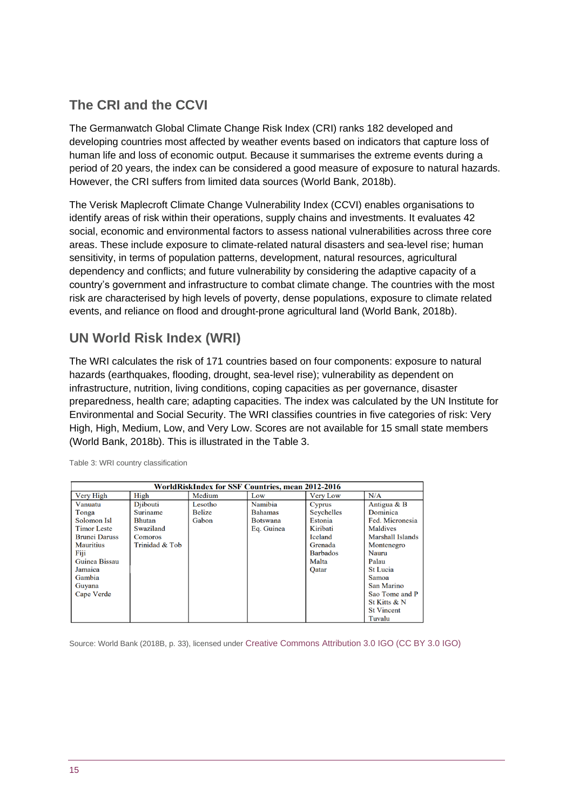### **The CRI and the CCVI**

The Germanwatch Global Climate Change Risk Index (CRI) ranks 182 developed and developing countries most affected by weather events based on indicators that capture loss of human life and loss of economic output. Because it summarises the extreme events during a period of 20 years, the index can be considered a good measure of exposure to natural hazards. However, the CRI suffers from limited data sources (World Bank, 2018b).

The Verisk Maplecroft Climate Change Vulnerability Index (CCVI) enables organisations to identify areas of risk within their operations, supply chains and investments. It evaluates 42 social, economic and environmental factors to assess national vulnerabilities across three core areas. These include exposure to climate-related natural disasters and sea-level rise; human sensitivity, in terms of population patterns, development, natural resources, agricultural dependency and conflicts; and future vulnerability by considering the adaptive capacity of a country's government and infrastructure to combat climate change. The countries with the most risk are characterised by high levels of poverty, dense populations, exposure to climate related events, and reliance on flood and drought-prone agricultural land (World Bank, 2018b).

### **UN World Risk Index (WRI)**

The WRI calculates the risk of 171 countries based on four components: exposure to natural hazards (earthquakes, flooding, drought, sea-level rise); vulnerability as dependent on infrastructure, nutrition, living conditions, coping capacities as per governance, disaster preparedness, health care; adapting capacities. The index was calculated by the UN Institute for Environmental and Social Security. The WRI classifies countries in five categories of risk: Very High, High, Medium, Low, and Very Low. Scores are not available for 15 small state members (World Bank, 2018b). This is illustrated in the Table 3.

| WorldRiskIndex for SSF Countries, mean 2012-2016 |                 |               |                 |                 |                   |  |  |
|--------------------------------------------------|-----------------|---------------|-----------------|-----------------|-------------------|--|--|
| Very High                                        | High            | Medium        | Low             | <b>Very Low</b> | N/A               |  |  |
| Vanuatu                                          | Diibouti        | Lesotho       | Namibia         | Cyprus          | Antigua & B       |  |  |
| Tonga                                            | <b>Suriname</b> | <b>Belize</b> | <b>Bahamas</b>  | Seychelles      | Dominica          |  |  |
| Solomon Isl                                      | <b>Bhutan</b>   | Gabon         | <b>Botswana</b> | Estonia         | Fed. Micronesia   |  |  |
| <b>Timor Leste</b>                               | Swaziland       |               | Eq. Guinea      | Kiribati        | <b>Maldives</b>   |  |  |
| <b>Brunei Daruss</b>                             | <b>Comoros</b>  |               |                 | Iceland         | Marshall Islands  |  |  |
| <b>Mauritius</b>                                 | Trinidad & Tob  |               |                 | Grenada         | Montenegro        |  |  |
| Fiji                                             |                 |               |                 | <b>Barbados</b> | Nauru             |  |  |
| Guinea Bissau                                    |                 |               |                 | Malta           | Palau             |  |  |
| Jamaica                                          |                 |               |                 | <b>Qatar</b>    | <b>St Lucia</b>   |  |  |
| Gambia                                           |                 |               |                 |                 | Samoa             |  |  |
| Guyana                                           |                 |               |                 |                 | San Marino        |  |  |
| Cape Verde                                       |                 |               |                 |                 | Sao Tome and P    |  |  |
|                                                  |                 |               |                 |                 | St Kitts & N      |  |  |
|                                                  |                 |               |                 |                 | <b>St Vincent</b> |  |  |
|                                                  |                 |               |                 |                 | Tuvalu            |  |  |

Table 3: WRI country classification

Source: World Bank (2018B, p. 33), licensed under [Creative Commons Attribution 3.0 IGO \(CC BY 3.0 IGO\)](http://creativecommons.org/licenses/by/3.0/igo/)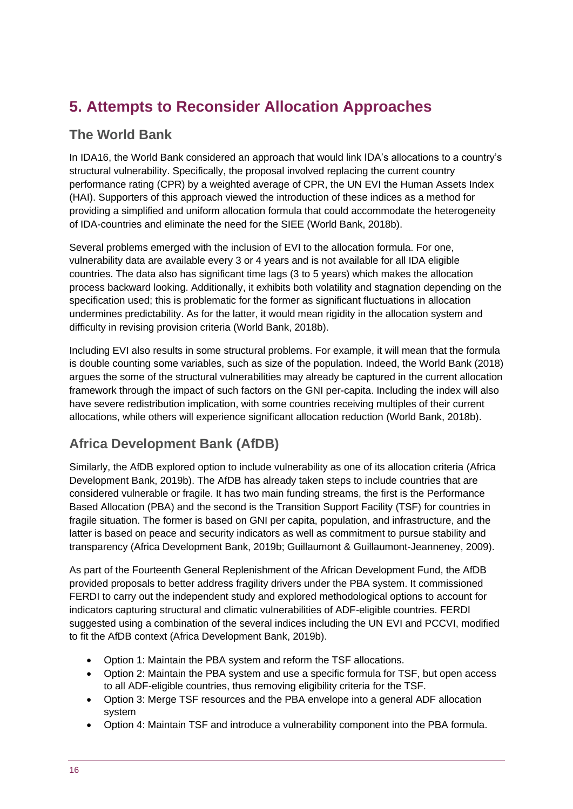# <span id="page-15-0"></span>**5. Attempts to Reconsider Allocation Approaches**

### **The World Bank**

In IDA16, the World Bank considered an approach that would link IDA's allocations to a country's structural vulnerability. Specifically, the proposal involved replacing the current country performance rating (CPR) by a weighted average of CPR, the UN EVI the Human Assets Index (HAI). Supporters of this approach viewed the introduction of these indices as a method for providing a simplified and uniform allocation formula that could accommodate the heterogeneity of IDA-countries and eliminate the need for the SIEE (World Bank, 2018b).

Several problems emerged with the inclusion of EVI to the allocation formula. For one, vulnerability data are available every 3 or 4 years and is not available for all IDA eligible countries. The data also has significant time lags (3 to 5 years) which makes the allocation process backward looking. Additionally, it exhibits both volatility and stagnation depending on the specification used; this is problematic for the former as significant fluctuations in allocation undermines predictability. As for the latter, it would mean rigidity in the allocation system and difficulty in revising provision criteria (World Bank, 2018b).

Including EVI also results in some structural problems. For example, it will mean that the formula is double counting some variables, such as size of the population. Indeed, the World Bank (2018) argues the some of the structural vulnerabilities may already be captured in the current allocation framework through the impact of such factors on the GNI per-capita. Including the index will also have severe redistribution implication, with some countries receiving multiples of their current allocations, while others will experience significant allocation reduction (World Bank, 2018b).

### **Africa Development Bank (AfDB)**

Similarly, the AfDB explored option to include vulnerability as one of its allocation criteria (Africa Development Bank, 2019b). The AfDB has already taken steps to include countries that are considered vulnerable or fragile. It has two main funding streams, the first is the Performance Based Allocation (PBA) and the second is the Transition Support Facility (TSF) for countries in fragile situation. The former is based on GNI per capita, population, and infrastructure, and the latter is based on peace and security indicators as well as commitment to pursue stability and transparency (Africa Development Bank, 2019b; Guillaumont & Guillaumont-Jeanneney, 2009).

As part of the Fourteenth General Replenishment of the African Development Fund, the AfDB provided proposals to better address fragility drivers under the PBA system. It commissioned FERDI to carry out the independent study and explored methodological options to account for indicators capturing structural and climatic vulnerabilities of ADF-eligible countries. FERDI suggested using a combination of the several indices including the UN EVI and PCCVI, modified to fit the AfDB context (Africa Development Bank, 2019b).

- Option 1: Maintain the PBA system and reform the TSF allocations.
- Option 2: Maintain the PBA system and use a specific formula for TSF, but open access to all ADF-eligible countries, thus removing eligibility criteria for the TSF.
- Option 3: Merge TSF resources and the PBA envelope into a general ADF allocation system
- Option 4: Maintain TSF and introduce a vulnerability component into the PBA formula.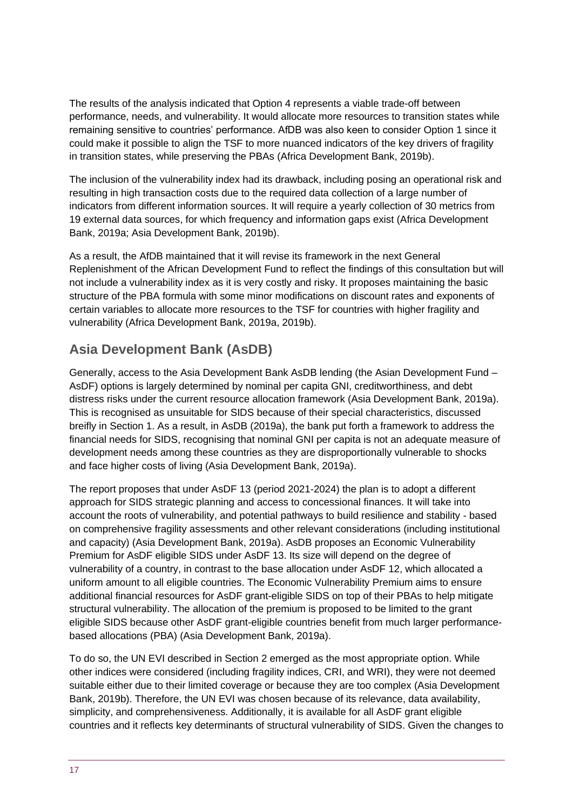The results of the analysis indicated that Option 4 represents a viable trade-off between performance, needs, and vulnerability. It would allocate more resources to transition states while remaining sensitive to countries' performance. AfDB was also keen to consider Option 1 since it could make it possible to align the TSF to more nuanced indicators of the key drivers of fragility in transition states, while preserving the PBAs (Africa Development Bank, 2019b).

The inclusion of the vulnerability index had its drawback, including posing an operational risk and resulting in high transaction costs due to the required data collection of a large number of indicators from different information sources. It will require a yearly collection of 30 metrics from 19 external data sources, for which frequency and information gaps exist (Africa Development Bank, 2019a; Asia Development Bank, 2019b).

As a result, the AfDB maintained that it will revise its framework in the next General Replenishment of the African Development Fund to reflect the findings of this consultation but will not include a vulnerability index as it is very costly and risky. It proposes maintaining the basic structure of the PBA formula with some minor modifications on discount rates and exponents of certain variables to allocate more resources to the TSF for countries with higher fragility and vulnerability (Africa Development Bank, 2019a, 2019b).

### **Asia Development Bank (AsDB)**

Generally, access to the Asia Development Bank AsDB lending (the Asian Development Fund – AsDF) options is largely determined by nominal per capita GNI, creditworthiness, and debt distress risks under the current resource allocation framework (Asia Development Bank, 2019a). This is recognised as unsuitable for SIDS because of their special characteristics, discussed breifly in Section 1. As a result, in AsDB (2019a), the bank put forth a framework to address the financial needs for SIDS, recognising that nominal GNI per capita is not an adequate measure of development needs among these countries as they are disproportionally vulnerable to shocks and face higher costs of living (Asia Development Bank, 2019a).

The report proposes that under AsDF 13 (period 2021-2024) the plan is to adopt a different approach for SIDS strategic planning and access to concessional finances. It will take into account the roots of vulnerability, and potential pathways to build resilience and stability - based on comprehensive fragility assessments and other relevant considerations (including institutional and capacity) (Asia Development Bank, 2019a). AsDB proposes an Economic Vulnerability Premium for AsDF eligible SIDS under AsDF 13. Its size will depend on the degree of vulnerability of a country, in contrast to the base allocation under AsDF 12, which allocated a uniform amount to all eligible countries. The Economic Vulnerability Premium aims to ensure additional financial resources for AsDF grant-eligible SIDS on top of their PBAs to help mitigate structural vulnerability. The allocation of the premium is proposed to be limited to the grant eligible SIDS because other AsDF grant-eligible countries benefit from much larger performancebased allocations (PBA) (Asia Development Bank, 2019a).

To do so, the UN EVI described in Section 2 emerged as the most appropriate option. While other indices were considered (including fragility indices, CRI, and WRI), they were not deemed suitable either due to their limited coverage or because they are too complex (Asia Development Bank, 2019b). Therefore, the UN EVI was chosen because of its relevance, data availability, simplicity, and comprehensiveness. Additionally, it is available for all AsDF grant eligible countries and it reflects key determinants of structural vulnerability of SIDS. Given the changes to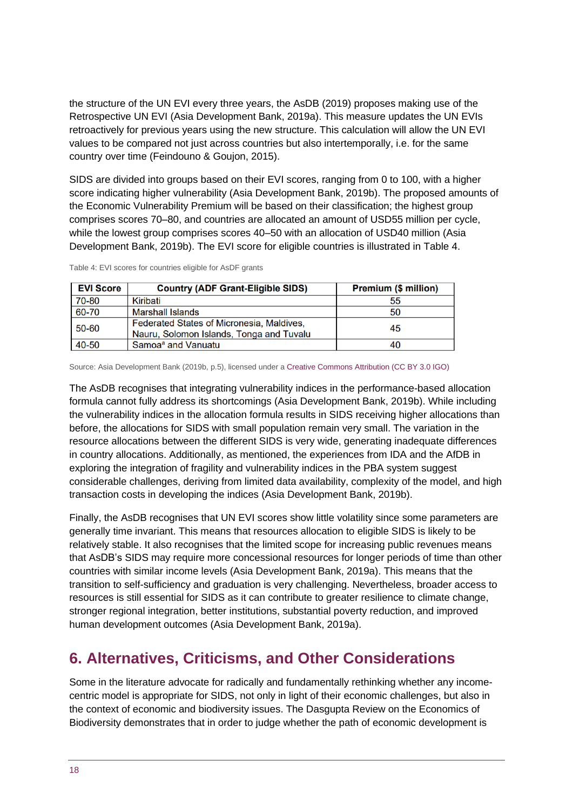the structure of the UN EVI every three years, the AsDB (2019) proposes making use of the Retrospective UN EVI (Asia Development Bank, 2019a). This measure updates the UN EVIs retroactively for previous years using the new structure. This calculation will allow the UN EVI values to be compared not just across countries but also intertemporally, i.e. for the same country over time (Feindouno & Goujon, 2015).

SIDS are divided into groups based on their EVI scores, ranging from 0 to 100, with a higher score indicating higher vulnerability (Asia Development Bank, 2019b). The proposed amounts of the Economic Vulnerability Premium will be based on their classification; the highest group comprises scores 70–80, and countries are allocated an amount of USD55 million per cycle, while the lowest group comprises scores 40–50 with an allocation of USD40 million (Asia Development Bank, 2019b). The EVI score for eligible countries is illustrated in Table 4.

| <b>EVI Score</b> | <b>Country (ADF Grant-Eligible SIDS)</b>  | <b>Premium (\$ million)</b> |  |  |
|------------------|-------------------------------------------|-----------------------------|--|--|
| 70-80            | Kiribati                                  | 55                          |  |  |
| 60-70            | <b>Marshall Islands</b>                   | 50                          |  |  |
| 50-60            | Federated States of Micronesia, Maldives, | 45                          |  |  |
|                  | Nauru, Solomon Islands, Tonga and Tuvalu  |                             |  |  |
| 40-50            | Samoa <sup>a</sup> and Vanuatu            | 40                          |  |  |

Table 4: EVI scores for countries eligible for AsDF grants

Source: Asia Development Bank (2019b, p.5), licensed under [a Creative Commons Attribution \(CC BY 3.0 IGO\)](https://creativecommons.org/licenses/by/3.0/igo/)

The AsDB recognises that integrating vulnerability indices in the performance-based allocation formula cannot fully address its shortcomings (Asia Development Bank, 2019b). While including the vulnerability indices in the allocation formula results in SIDS receiving higher allocations than before, the allocations for SIDS with small population remain very small. The variation in the resource allocations between the different SIDS is very wide, generating inadequate differences in country allocations. Additionally, as mentioned, the experiences from IDA and the AfDB in exploring the integration of fragility and vulnerability indices in the PBA system suggest considerable challenges, deriving from limited data availability, complexity of the model, and high transaction costs in developing the indices (Asia Development Bank, 2019b).

Finally, the AsDB recognises that UN EVI scores show little volatility since some parameters are generally time invariant. This means that resources allocation to eligible SIDS is likely to be relatively stable. It also recognises that the limited scope for increasing public revenues means that AsDB's SIDS may require more concessional resources for longer periods of time than other countries with similar income levels (Asia Development Bank, 2019a). This means that the transition to self-sufficiency and graduation is very challenging. Nevertheless, broader access to resources is still essential for SIDS as it can contribute to greater resilience to climate change, stronger regional integration, better institutions, substantial poverty reduction, and improved human development outcomes (Asia Development Bank, 2019a).

# <span id="page-17-0"></span>**6. Alternatives, Criticisms, and Other Considerations**

Some in the literature advocate for radically and fundamentally rethinking whether any incomecentric model is appropriate for SIDS, not only in light of their economic challenges, but also in the context of economic and biodiversity issues. The Dasgupta Review on the Economics of Biodiversity demonstrates that in order to judge whether the path of economic development is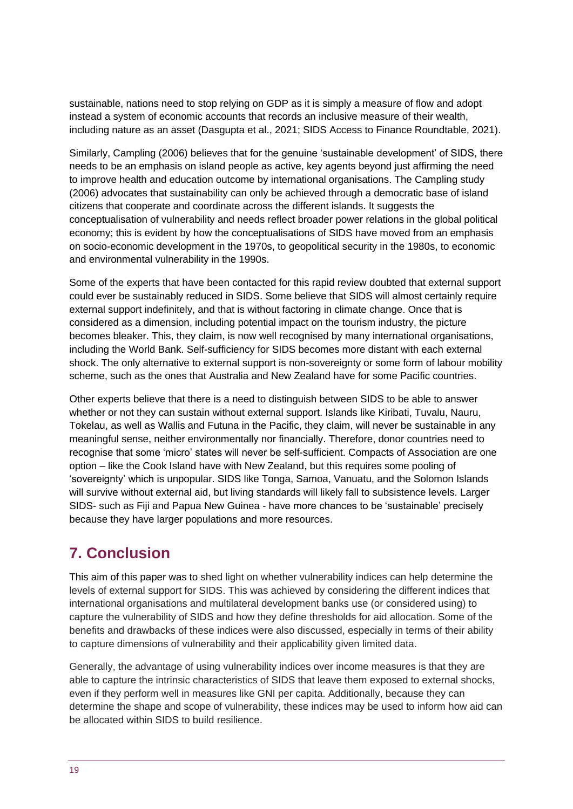sustainable, nations need to stop relying on GDP as it is simply a measure of flow and adopt instead a system of economic accounts that records an inclusive measure of their wealth, including nature as an asset (Dasgupta et al., 2021; SIDS Access to Finance Roundtable, 2021).

Similarly, Campling (2006) believes that for the genuine 'sustainable development' of SIDS, there needs to be an emphasis on island people as active, key agents beyond just affirming the need to improve health and education outcome by international organisations. The Campling study (2006) advocates that sustainability can only be achieved through a democratic base of island citizens that cooperate and coordinate across the different islands. It suggests the conceptualisation of vulnerability and needs reflect broader power relations in the global political economy; this is evident by how the conceptualisations of SIDS have moved from an emphasis on socio-economic development in the 1970s, to geopolitical security in the 1980s, to economic and environmental vulnerability in the 1990s.

Some of the experts that have been contacted for this rapid review doubted that external support could ever be sustainably reduced in SIDS. Some believe that SIDS will almost certainly require external support indefinitely, and that is without factoring in climate change. Once that is considered as a dimension, including potential impact on the tourism industry, the picture becomes bleaker. This, they claim, is now well recognised by many international organisations, including the World Bank. Self-sufficiency for SIDS becomes more distant with each external shock. The only alternative to external support is non-sovereignty or some form of labour mobility scheme, such as the ones that Australia and New Zealand have for some Pacific countries.

Other experts believe that there is a need to distinguish between SIDS to be able to answer whether or not they can sustain without external support. Islands like Kiribati, Tuvalu, Nauru, Tokelau, as well as Wallis and Futuna in the Pacific, they claim, will never be sustainable in any meaningful sense, neither environmentally nor financially. Therefore, donor countries need to recognise that some 'micro' states will never be self-sufficient. Compacts of Association are one option – like the Cook Island have with New Zealand, but this requires some pooling of 'sovereignty' which is unpopular. SIDS like Tonga, Samoa, Vanuatu, and the Solomon Islands will survive without external aid, but living standards will likely fall to subsistence levels. Larger SIDS- such as Fiji and Papua New Guinea - have more chances to be 'sustainable' precisely because they have larger populations and more resources.

# <span id="page-18-0"></span>**7. Conclusion**

This aim of this paper was to shed light on whether vulnerability indices can help determine the levels of external support for SIDS. This was achieved by considering the different indices that international organisations and multilateral development banks use (or considered using) to capture the vulnerability of SIDS and how they define thresholds for aid allocation. Some of the benefits and drawbacks of these indices were also discussed, especially in terms of their ability to capture dimensions of vulnerability and their applicability given limited data.

Generally, the advantage of using vulnerability indices over income measures is that they are able to capture the intrinsic characteristics of SIDS that leave them exposed to external shocks, even if they perform well in measures like GNI per capita. Additionally, because they can determine the shape and scope of vulnerability, these indices may be used to inform how aid can be allocated within SIDS to build resilience.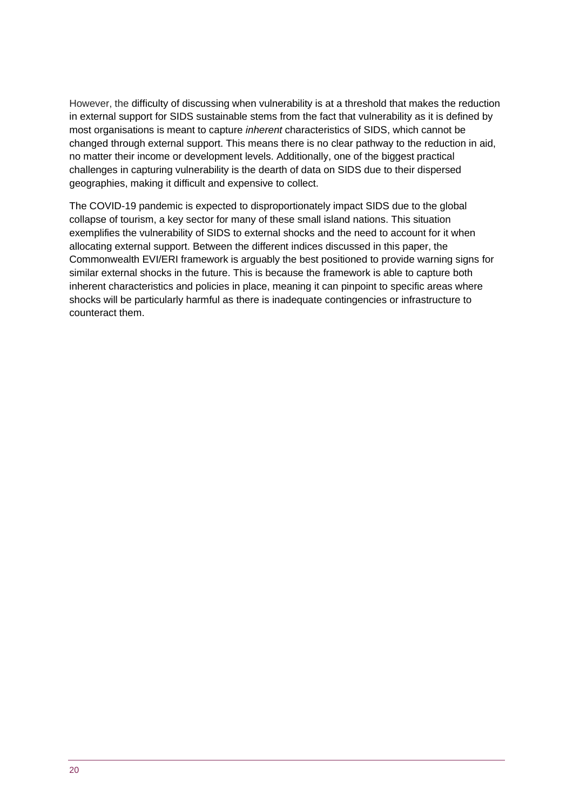However, the difficulty of discussing when vulnerability is at a threshold that makes the reduction in external support for SIDS sustainable stems from the fact that vulnerability as it is defined by most organisations is meant to capture *inherent* characteristics of SIDS, which cannot be changed through external support. This means there is no clear pathway to the reduction in aid, no matter their income or development levels. Additionally, one of the biggest practical challenges in capturing vulnerability is the dearth of data on SIDS due to their dispersed geographies, making it difficult and expensive to collect.

<span id="page-19-0"></span>The COVID-19 pandemic is expected to disproportionately impact SIDS due to the global collapse of tourism, a key sector for many of these small island nations. This situation exemplifies the vulnerability of SIDS to external shocks and the need to account for it when allocating external support. Between the different indices discussed in this paper, the Commonwealth EVI/ERI framework is arguably the best positioned to provide warning signs for similar external shocks in the future. This is because the framework is able to capture both inherent characteristics and policies in place, meaning it can pinpoint to specific areas where shocks will be particularly harmful as there is inadequate contingencies or infrastructure to counteract them.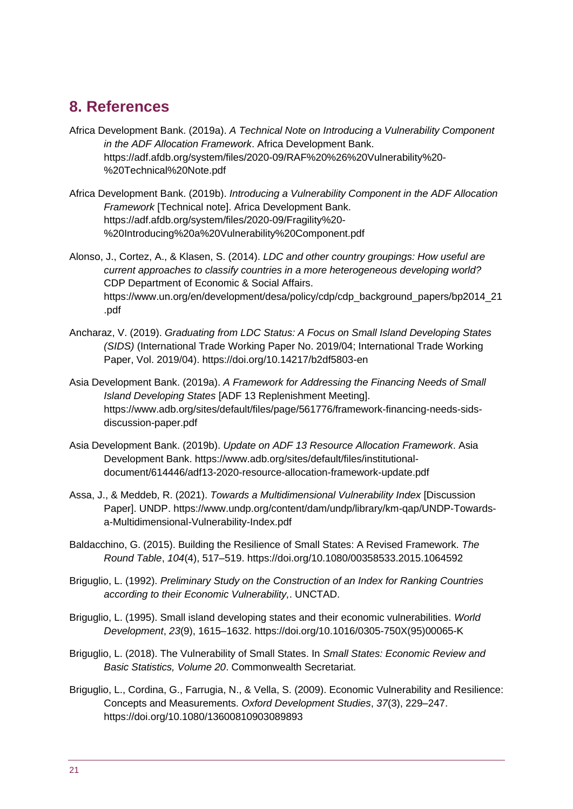### **8. References**

- Africa Development Bank. (2019a). *A Technical Note on Introducing a Vulnerability Component in the ADF Allocation Framework*. Africa Development Bank. https://adf.afdb.org/system/files/2020-09/RAF%20%26%20Vulnerability%20- %20Technical%20Note.pdf
- Africa Development Bank. (2019b). *Introducing a Vulnerability Component in the ADF Allocation Framework* [Technical note]. Africa Development Bank. https://adf.afdb.org/system/files/2020-09/Fragility%20- %20Introducing%20a%20Vulnerability%20Component.pdf
- Alonso, J., Cortez, A., & Klasen, S. (2014). *LDC and other country groupings: How useful are current approaches to classify countries in a more heterogeneous developing world?* CDP Department of Economic & Social Affairs. https://www.un.org/en/development/desa/policy/cdp/cdp\_background\_papers/bp2014\_21 .pdf
- Ancharaz, V. (2019). *Graduating from LDC Status: A Focus on Small Island Developing States (SIDS)* (International Trade Working Paper No. 2019/04; International Trade Working Paper, Vol. 2019/04). https://doi.org/10.14217/b2df5803-en
- Asia Development Bank. (2019a). *A Framework for Addressing the Financing Needs of Small Island Developing States* [ADF 13 Replenishment Meeting]. https://www.adb.org/sites/default/files/page/561776/framework-financing-needs-sidsdiscussion-paper.pdf
- Asia Development Bank. (2019b). *Update on ADF 13 Resource Allocation Framework*. Asia Development Bank. https://www.adb.org/sites/default/files/institutionaldocument/614446/adf13-2020-resource-allocation-framework-update.pdf
- Assa, J., & Meddeb, R. (2021). *Towards a Multidimensional Vulnerability Index* [Discussion Paper]. UNDP. https://www.undp.org/content/dam/undp/library/km-qap/UNDP-Towardsa-Multidimensional-Vulnerability-Index.pdf
- Baldacchino, G. (2015). Building the Resilience of Small States: A Revised Framework. *The Round Table*, *104*(4), 517–519. https://doi.org/10.1080/00358533.2015.1064592
- Briguglio, L. (1992). *Preliminary Study on the Construction of an Index for Ranking Countries according to their Economic Vulnerability,*. UNCTAD.
- Briguglio, L. (1995). Small island developing states and their economic vulnerabilities. *World Development*, *23*(9), 1615–1632. https://doi.org/10.1016/0305-750X(95)00065-K
- Briguglio, L. (2018). The Vulnerability of Small States. In *Small States: Economic Review and Basic Statistics, Volume 20*. Commonwealth Secretariat.
- Briguglio, L., Cordina, G., Farrugia, N., & Vella, S. (2009). Economic Vulnerability and Resilience: Concepts and Measurements. *Oxford Development Studies*, *37*(3), 229–247. https://doi.org/10.1080/13600810903089893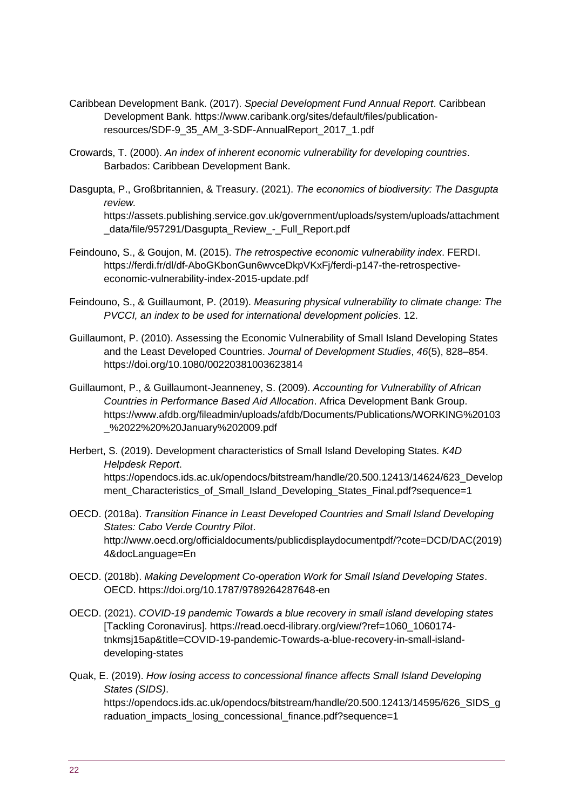- Caribbean Development Bank. (2017). *Special Development Fund Annual Report*. Caribbean Development Bank. https://www.caribank.org/sites/default/files/publicationresources/SDF-9\_35\_AM\_3-SDF-AnnualReport\_2017\_1.pdf
- Crowards, T. (2000). *An index of inherent economic vulnerability for developing countries*. Barbados: Caribbean Development Bank.
- Dasgupta, P., Großbritannien, & Treasury. (2021). *The economics of biodiversity: The Dasgupta review.*

https://assets.publishing.service.gov.uk/government/uploads/system/uploads/attachment \_data/file/957291/Dasgupta\_Review\_-\_Full\_Report.pdf

- Feindouno, S., & Goujon, M. (2015). *The retrospective economic vulnerability index*. FERDI. https://ferdi.fr/dl/df-AboGKbonGun6wvceDkpVKxFj/ferdi-p147-the-retrospectiveeconomic-vulnerability-index-2015-update.pdf
- Feindouno, S., & Guillaumont, P. (2019). *Measuring physical vulnerability to climate change: The PVCCI, an index to be used for international development policies*. 12.
- Guillaumont, P. (2010). Assessing the Economic Vulnerability of Small Island Developing States and the Least Developed Countries. *Journal of Development Studies*, *46*(5), 828–854. https://doi.org/10.1080/00220381003623814
- Guillaumont, P., & Guillaumont-Jeanneney, S. (2009). *Accounting for Vulnerability of African Countries in Performance Based Aid Allocation*. Africa Development Bank Group. https://www.afdb.org/fileadmin/uploads/afdb/Documents/Publications/WORKING%20103 \_%2022%20%20January%202009.pdf
- Herbert, S. (2019). Development characteristics of Small Island Developing States. *K4D Helpdesk Report*. https://opendocs.ids.ac.uk/opendocs/bitstream/handle/20.500.12413/14624/623\_Develop ment Characteristics of Small Island Developing States Final.pdf?sequence=1
- OECD. (2018a). *Transition Finance in Least Developed Countries and Small Island Developing States: Cabo Verde Country Pilot*. http://www.oecd.org/officialdocuments/publicdisplaydocumentpdf/?cote=DCD/DAC(2019) 4&docLanguage=En
- OECD. (2018b). *Making Development Co-operation Work for Small Island Developing States*. OECD. https://doi.org/10.1787/9789264287648-en
- OECD. (2021). *COVID-19 pandemic Towards a blue recovery in small island developing states* [Tackling Coronavirus]. https://read.oecd-ilibrary.org/view/?ref=1060\_1060174 tnkmsj15ap&title=COVID-19-pandemic-Towards-a-blue-recovery-in-small-islanddeveloping-states
- Quak, E. (2019). *How losing access to concessional finance affects Small Island Developing States (SIDS)*. https://opendocs.ids.ac.uk/opendocs/bitstream/handle/20.500.12413/14595/626\_SIDS\_g raduation\_impacts\_losing\_concessional\_finance.pdf?sequence=1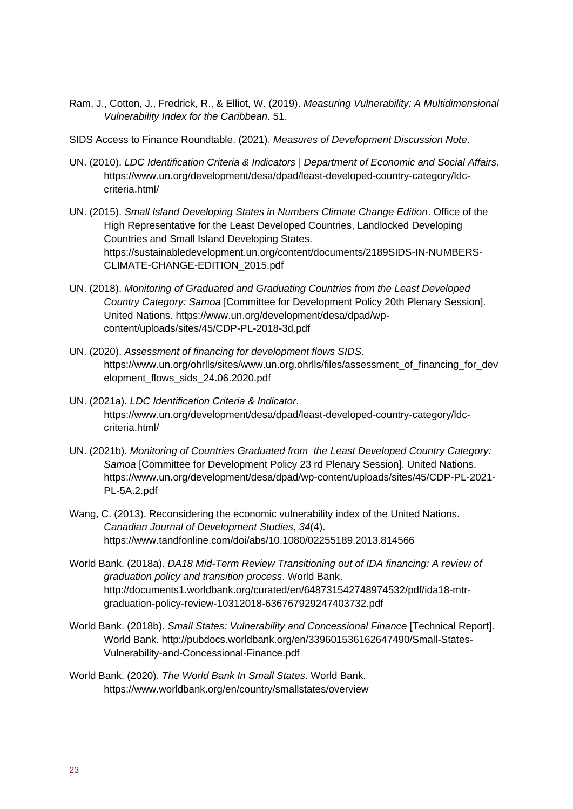- Ram, J., Cotton, J., Fredrick, R., & Elliot, W. (2019). *Measuring Vulnerability: A Multidimensional Vulnerability Index for the Caribbean*. 51.
- SIDS Access to Finance Roundtable. (2021). *Measures of Development Discussion Note*.
- UN. (2010). *LDC Identification Criteria & Indicators | Department of Economic and Social Affairs*. https://www.un.org/development/desa/dpad/least-developed-country-category/ldccriteria.html/
- UN. (2015). *Small Island Developing States in Numbers Climate Change Edition*. Office of the High Representative for the Least Developed Countries, Landlocked Developing Countries and Small Island Developing States. https://sustainabledevelopment.un.org/content/documents/2189SIDS-IN-NUMBERS-CLIMATE-CHANGE-EDITION\_2015.pdf
- UN. (2018). *Monitoring of Graduated and Graduating Countries from the Least Developed Country Category: Samoa* [Committee for Development Policy 20th Plenary Session]. United Nations. https://www.un.org/development/desa/dpad/wpcontent/uploads/sites/45/CDP-PL-2018-3d.pdf
- UN. (2020). *Assessment of financing for development flows SIDS*. https://www.un.org/ohrlls/sites/www.un.org.ohrlls/files/assessment\_of\_financing\_for\_dev elopment\_flows\_sids\_24.06.2020.pdf
- UN. (2021a). *LDC Identification Criteria & Indicator*. https://www.un.org/development/desa/dpad/least-developed-country-category/ldccriteria.html/
- UN. (2021b). *Monitoring of Countries Graduated from the Least Developed Country Category: Samoa* [Committee for Development Policy 23 rd Plenary Session]. United Nations. https://www.un.org/development/desa/dpad/wp-content/uploads/sites/45/CDP-PL-2021- PL-5A.2.pdf
- Wang, C. (2013). Reconsidering the economic vulnerability index of the United Nations. *Canadian Journal of Development Studies*, *34*(4). https://www.tandfonline.com/doi/abs/10.1080/02255189.2013.814566
- World Bank. (2018a). *DA18 Mid-Term Review Transitioning out of IDA financing: A review of graduation policy and transition process*. World Bank. http://documents1.worldbank.org/curated/en/648731542748974532/pdf/ida18-mtrgraduation-policy-review-10312018-636767929247403732.pdf
- World Bank. (2018b). *Small States: Vulnerability and Concessional Finance* [Technical Report]. World Bank. http://pubdocs.worldbank.org/en/339601536162647490/Small-States-Vulnerability-and-Concessional-Finance.pdf
- World Bank. (2020). *The World Bank In Small States*. World Bank. https://www.worldbank.org/en/country/smallstates/overview